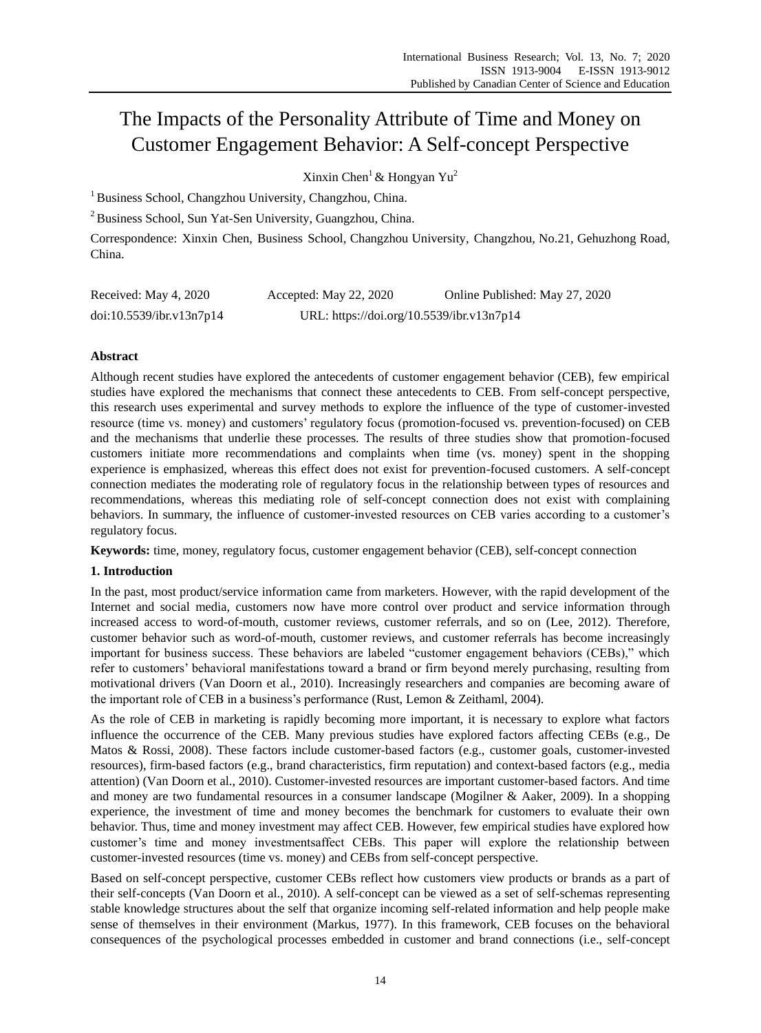# The Impacts of the Personality Attribute of Time and Money on Customer Engagement Behavior: A Self-concept Perspective

Xinxin Chen<sup>1</sup> & Hongyan Yu<sup>2</sup>

<sup>1</sup> Business School, Changzhou University, Changzhou, China.

<sup>2</sup> Business School, Sun Yat-Sen University, Guangzhou, China.

Correspondence: Xinxin Chen, Business School, Changzhou University, Changzhou, No.21, Gehuzhong Road, China.

| Received: May 4, 2020    | Accepted: May 22, 2020                    | Online Published: May 27, 2020 |
|--------------------------|-------------------------------------------|--------------------------------|
| doi:10.5539/ibr.v13n7p14 | URL: https://doi.org/10.5539/ibr.v13n7p14 |                                |

# **Abstract**

Although recent studies have explored the antecedents of customer engagement behavior (CEB), few empirical studies have explored the mechanisms that connect these antecedents to CEB. From self-concept perspective, this research uses experimental and survey methods to explore the influence of the type of customer-invested resource (time vs. money) and customers" regulatory focus (promotion-focused vs. prevention-focused) on CEB and the mechanisms that underlie these processes. The results of three studies show that promotion-focused customers initiate more recommendations and complaints when time (vs. money) spent in the shopping experience is emphasized, whereas this effect does not exist for prevention-focused customers. A self-concept connection mediates the moderating role of regulatory focus in the relationship between types of resources and recommendations, whereas this mediating role of self-concept connection does not exist with complaining behaviors. In summary, the influence of customer-invested resources on CEB varies according to a customer"s regulatory focus.

**Keywords:** time, money, regulatory focus, customer engagement behavior (CEB), self-concept connection

# **1. Introduction**

In the past, most product/service information came from marketers. However, with the rapid development of the Internet and social media, customers now have more control over product and service information through increased access to word-of-mouth, customer reviews, customer referrals, and so on (Lee, 2012). Therefore, customer behavior such as word-of-mouth, customer reviews, and customer referrals has become increasingly important for business success. These behaviors are labeled "customer engagement behaviors (CEBs)," which refer to customers" behavioral manifestations toward a brand or firm beyond merely purchasing, resulting from motivational drivers (Van Doorn et al., 2010). Increasingly researchers and companies are becoming aware of the important role of CEB in a business"s performance (Rust, Lemon & Zeithaml, 2004).

As the role of CEB in marketing is rapidly becoming more important, it is necessary to explore what factors influence the occurrence of the CEB. Many previous studies have explored factors affecting CEBs (e.g., De Matos & Rossi, 2008). These factors include customer-based factors (e.g., customer goals, customer-invested resources), firm-based factors (e.g., brand characteristics, firm reputation) and context-based factors (e.g., media attention) (Van Doorn et al., 2010). Customer-invested resources are important customer-based factors. And time and money are two fundamental resources in a consumer landscape (Mogilner & Aaker, 2009). In a shopping experience, the investment of time and money becomes the benchmark for customers to evaluate their own behavior. Thus, time and money investment may affect CEB. However, few empirical studies have explored how customer"s time and money investmentsaffect CEBs. This paper will explore the relationship between customer-invested resources (time vs. money) and CEBs from self-concept perspective.

Based on self-concept perspective, customer CEBs reflect how customers view products or brands as a part of their self-concepts (Van Doorn et al., 2010). A self-concept can be viewed as a set of self-schemas representing stable knowledge structures about the self that organize incoming self-related information and help people make sense of themselves in their environment (Markus, 1977). In this framework, CEB focuses on the behavioral consequences of the psychological processes embedded in customer and brand connections (i.e., self-concept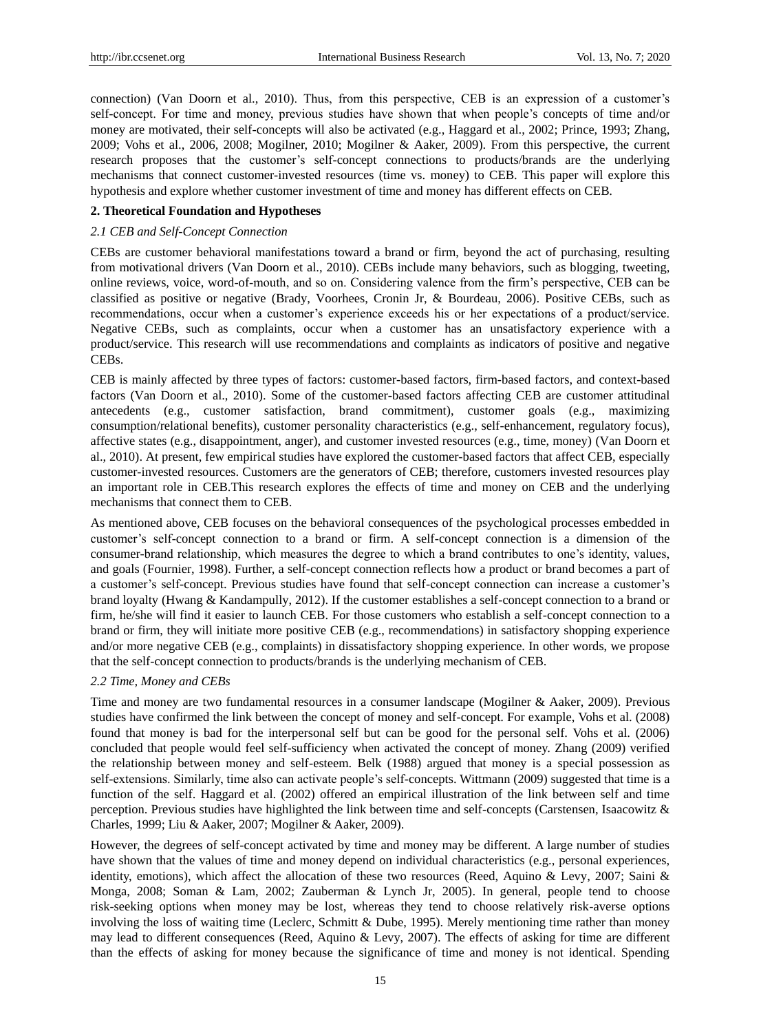connection) (Van Doorn et al., 2010). Thus, from this perspective, CEB is an expression of a customer"s self-concept. For time and money, previous studies have shown that when people"s concepts of time and/or money are motivated, their self-concepts will also be activated (e.g., Haggard et al., 2002; Prince, 1993; Zhang, 2009; Vohs et al., 2006, 2008; Mogilner, 2010; Mogilner & Aaker, 2009). From this perspective, the current research proposes that the customer's self-concept connections to products/brands are the underlying mechanisms that connect customer-invested resources (time vs. money) to CEB. This paper will explore this hypothesis and explore whether customer investment of time and money has different effects on CEB.

# **2. Theoretical Foundation and Hypotheses**

# *2.1 CEB and Self-Concept Connection*

CEBs are customer behavioral manifestations toward a brand or firm, beyond the act of purchasing, resulting from motivational drivers (Van Doorn et al., 2010). CEBs include many behaviors, such as blogging, tweeting, online reviews, voice, word-of-mouth, and so on. Considering valence from the firm"s perspective, CEB can be classified as positive or negative (Brady, Voorhees, Cronin Jr, & Bourdeau, 2006). Positive CEBs, such as recommendations, occur when a customer"s experience exceeds his or her expectations of a product/service. Negative CEBs, such as complaints, occur when a customer has an unsatisfactory experience with a product/service. This research will use recommendations and complaints as indicators of positive and negative CEBs.

CEB is mainly affected by three types of factors: customer-based factors, firm-based factors, and context-based factors (Van Doorn et al., 2010). Some of the customer-based factors affecting CEB are customer attitudinal antecedents (e.g., customer satisfaction, brand commitment), customer goals (e.g., maximizing consumption/relational benefits), customer personality characteristics (e.g., self-enhancement, regulatory focus), affective states (e.g., disappointment, anger), and customer invested resources (e.g., time, money) (Van Doorn et al., 2010). At present, few empirical studies have explored the customer-based factors that affect CEB, especially customer-invested resources. Customers are the generators of CEB; therefore, customers invested resources play an important role in CEB.This research explores the effects of time and money on CEB and the underlying mechanisms that connect them to CEB.

As mentioned above, CEB focuses on the behavioral consequences of the psychological processes embedded in customer"s self-concept connection to a brand or firm. A self-concept connection is a dimension of the consumer-brand relationship, which measures the degree to which a brand contributes to one"s identity, values, and goals (Fournier, 1998). Further, a self-concept connection reflects how a product or brand becomes a part of a customer's self-concept. Previous studies have found that self-concept connection can increase a customer's brand loyalty (Hwang & Kandampully, 2012). If the customer establishes a self-concept connection to a brand or firm, he/she will find it easier to launch CEB. For those customers who establish a self-concept connection to a brand or firm, they will initiate more positive CEB (e.g., recommendations) in satisfactory shopping experience and/or more negative CEB (e.g., complaints) in dissatisfactory shopping experience. In other words, we propose that the self-concept connection to products/brands is the underlying mechanism of CEB.

### *2.2 Time, Money and CEBs*

Time and money are two fundamental resources in a consumer landscape (Mogilner & Aaker, 2009). Previous studies have confirmed the link between the concept of money and self-concept. For example, Vohs et al. (2008) found that money is bad for the interpersonal self but can be good for the personal self. Vohs et al. (2006) concluded that people would feel self-sufficiency when activated the concept of money. Zhang (2009) verified the relationship between money and self-esteem. Belk (1988) argued that money is a special possession as self-extensions. Similarly, time also can activate people's self-concepts. Wittmann (2009) suggested that time is a function of the self. Haggard et al. (2002) offered an empirical illustration of the link between self and time perception. Previous studies have highlighted the link between time and self-concepts (Carstensen, Isaacowitz & Charles, 1999; Liu & Aaker, 2007; Mogilner & Aaker, 2009).

However, the degrees of self-concept activated by time and money may be different. A large number of studies have shown that the values of time and money depend on individual characteristics (e.g., personal experiences, identity, emotions), which affect the allocation of these two resources (Reed, Aquino & Levy, 2007; Saini & Monga, 2008; Soman & Lam, 2002; Zauberman & Lynch Jr, 2005). In general, people tend to choose risk-seeking options when money may be lost, whereas they tend to choose relatively risk-averse options involving the loss of waiting time (Leclerc, Schmitt & Dube, 1995). Merely mentioning time rather than money may lead to different consequences (Reed, Aquino & Levy, 2007). The effects of asking for time are different than the effects of asking for money because the significance of time and money is not identical. Spending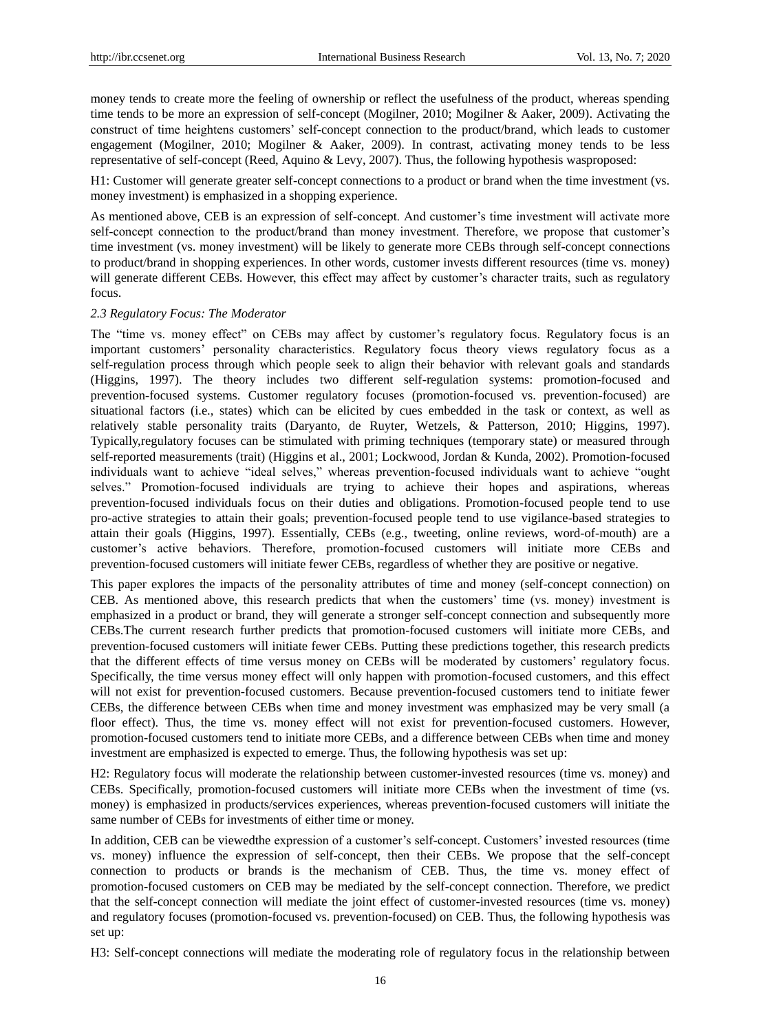money tends to create more the feeling of ownership or reflect the usefulness of the product, whereas spending time tends to be more an expression of self-concept (Mogilner, 2010; Mogilner & Aaker, 2009). Activating the construct of time heightens customers" self-concept connection to the product/brand, which leads to customer engagement (Mogilner, 2010; Mogilner & Aaker, 2009). In contrast, activating money tends to be less representative of self-concept (Reed, Aquino & Levy, 2007). Thus, the following hypothesis wasproposed:

H1: Customer will generate greater self-concept connections to a product or brand when the time investment (vs. money investment) is emphasized in a shopping experience.

As mentioned above, CEB is an expression of self-concept. And customer's time investment will activate more self-concept connection to the product/brand than money investment. Therefore, we propose that customer's time investment (vs. money investment) will be likely to generate more CEBs through self-concept connections to product/brand in shopping experiences. In other words, customer invests different resources (time vs. money) will generate different CEBs. However, this effect may affect by customer's character traits, such as regulatory focus.

# *2.3 Regulatory Focus: The Moderator*

The "time vs. money effect" on CEBs may affect by customer"s regulatory focus. Regulatory focus is an important customers" personality characteristics. Regulatory focus theory views regulatory focus as a self-regulation process through which people seek to align their behavior with relevant goals and standards (Higgins, 1997). The theory includes two different self-regulation systems: promotion-focused and prevention-focused systems. Customer regulatory focuses (promotion-focused vs. prevention-focused) are situational factors (i.e., states) which can be elicited by cues embedded in the task or context, as well as relatively stable personality traits (Daryanto, de Ruyter, Wetzels, & Patterson, 2010; Higgins, 1997). Typically,regulatory focuses can be stimulated with priming techniques (temporary state) or measured through self-reported measurements (trait) (Higgins et al., 2001; Lockwood, Jordan & Kunda, 2002). Promotion-focused individuals want to achieve "ideal selves," whereas prevention-focused individuals want to achieve "ought selves." Promotion-focused individuals are trying to achieve their hopes and aspirations, whereas prevention-focused individuals focus on their duties and obligations. Promotion-focused people tend to use pro-active strategies to attain their goals; prevention-focused people tend to use vigilance-based strategies to attain their goals (Higgins, 1997). Essentially, CEBs (e.g., tweeting, online reviews, word-of-mouth) are a customer"s active behaviors. Therefore, promotion-focused customers will initiate more CEBs and prevention-focused customers will initiate fewer CEBs, regardless of whether they are positive or negative.

This paper explores the impacts of the personality attributes of time and money (self-concept connection) on CEB. As mentioned above, this research predicts that when the customers" time (vs. money) investment is emphasized in a product or brand, they will generate a stronger self-concept connection and subsequently more CEBs.The current research further predicts that promotion-focused customers will initiate more CEBs, and prevention-focused customers will initiate fewer CEBs. Putting these predictions together, this research predicts that the different effects of time versus money on CEBs will be moderated by customers" regulatory focus. Specifically, the time versus money effect will only happen with promotion-focused customers, and this effect will not exist for prevention-focused customers. Because prevention-focused customers tend to initiate fewer CEBs, the difference between CEBs when time and money investment was emphasized may be very small (a floor effect). Thus, the time vs. money effect will not exist for prevention-focused customers. However, promotion-focused customers tend to initiate more CEBs, and a difference between CEBs when time and money investment are emphasized is expected to emerge. Thus, the following hypothesis was set up:

H2: Regulatory focus will moderate the relationship between customer-invested resources (time vs. money) and CEBs. Specifically, promotion-focused customers will initiate more CEBs when the investment of time (vs. money) is emphasized in products/services experiences, whereas prevention-focused customers will initiate the same number of CEBs for investments of either time or money.

In addition, CEB can be viewedthe expression of a customer's self-concept. Customers' invested resources (time vs. money) influence the expression of self-concept, then their CEBs. We propose that the self-concept connection to products or brands is the mechanism of CEB. Thus, the time vs. money effect of promotion-focused customers on CEB may be mediated by the self-concept connection. Therefore, we predict that the self-concept connection will mediate the joint effect of customer-invested resources (time vs. money) and regulatory focuses (promotion-focused vs. prevention-focused) on CEB. Thus, the following hypothesis was set up:

H3: Self-concept connections will mediate the moderating role of regulatory focus in the relationship between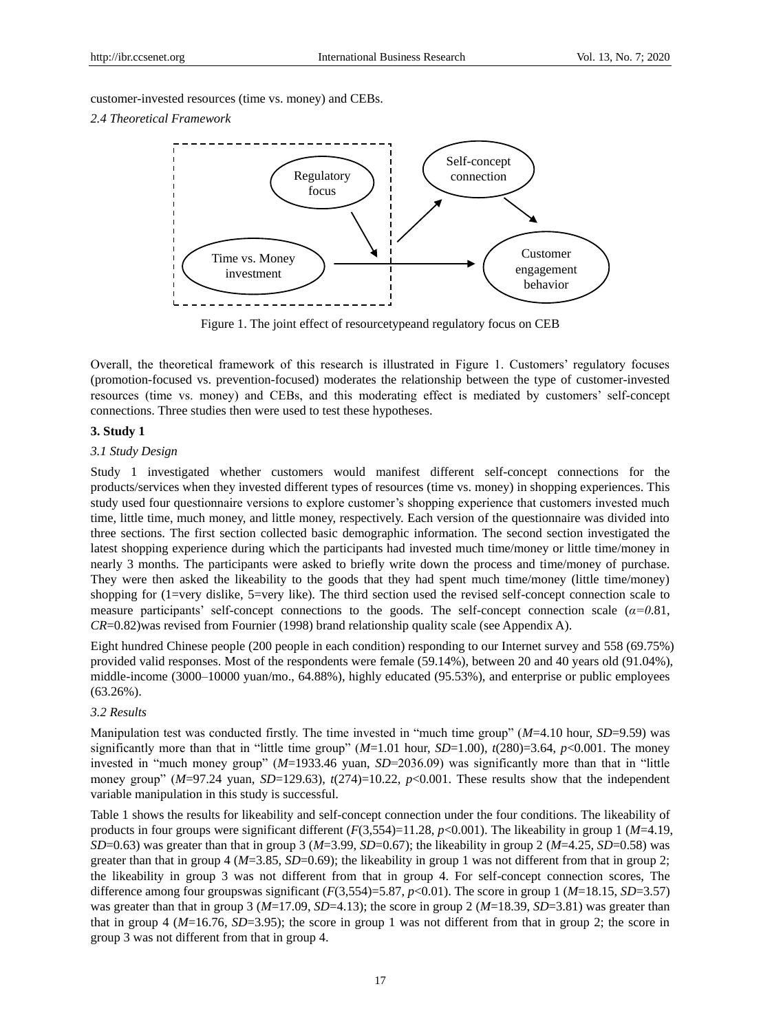customer-invested resources (time vs. money) and CEBs.

# *2.4 Theoretical Framework*



Figure 1. The joint effect of resourcetypeand regulatory focus on CEB

Overall, the theoretical framework of this research is illustrated in Figure 1. Customers" regulatory focuses (promotion-focused vs. prevention-focused) moderates the relationship between the type of customer-invested resources (time vs. money) and CEBs, and this moderating effect is mediated by customers" self-concept connections. Three studies then were used to test these hypotheses.

# **3. Study 1**

# *3.1 Study Design*

Study 1 investigated whether customers would manifest different self-concept connections for the products/services when they invested different types of resources (time vs. money) in shopping experiences. This study used four questionnaire versions to explore customer"s shopping experience that customers invested much time, little time, much money, and little money, respectively. Each version of the questionnaire was divided into three sections. The first section collected basic demographic information. The second section investigated the latest shopping experience during which the participants had invested much time/money or little time/money in nearly 3 months. The participants were asked to briefly write down the process and time/money of purchase. They were then asked the likeability to the goods that they had spent much time/money (little time/money) shopping for (1=very dislike, 5=very like). The third section used the revised self-concept connection scale to measure participants' self-concept connections to the goods. The self-concept connection scale  $(a=0.81, a=0.81)$ *CR*=0.82)was revised from Fournier (1998) brand relationship quality scale (see Appendix A).

Eight hundred Chinese people (200 people in each condition) responding to our Internet survey and 558 (69.75%) provided valid responses. Most of the respondents were female (59.14%), between 20 and 40 years old (91.04%), middle-income (3000–10000 yuan/mo., 64.88%), highly educated (95.53%), and enterprise or public employees (63.26%).

# *3.2 Results*

Manipulation test was conducted firstly. The time invested in "much time group" (*M*=4.10 hour, *SD*=9.59) was significantly more than that in "little time group" (*M*=1.01 hour, *SD*=1.00), *t*(280)=3.64, *p*<0.001. The money invested in "much money group" (*M*=1933.46 yuan, *SD*=2036.09) was significantly more than that in "little money group" ( $M=97.24$  yuan, *SD*=129.63),  $t(274)=10.22$ ,  $p<0.001$ . These results show that the independent variable manipulation in this study is successful.

Table 1 shows the results for likeability and self-concept connection under the four conditions. The likeability of products in four groups were significant different (*F*(3,554)=11.28, *p*<0.001). The likeability in group 1 (*M*=4.19, *SD*=0.63) was greater than that in group 3 (*M*=3.99, *SD*=0.67); the likeability in group 2 (*M*=4.25, *SD*=0.58) was greater than that in group 4 ( $M=3.85$ ,  $SD=0.69$ ); the likeability in group 1 was not different from that in group 2; the likeability in group 3 was not different from that in group 4. For self-concept connection scores, The difference among four groupswas significant (*F*(3,554)=5.87, *p*<0.01). The score in group 1 (*M*=18.15, *SD*=3.57) was greater than that in group 3 (*M*=17.09, *SD*=4.13); the score in group 2 (*M*=18.39, *SD*=3.81) was greater than that in group 4 (*M*=16.76, *SD*=3.95); the score in group 1 was not different from that in group 2; the score in group 3 was not different from that in group 4.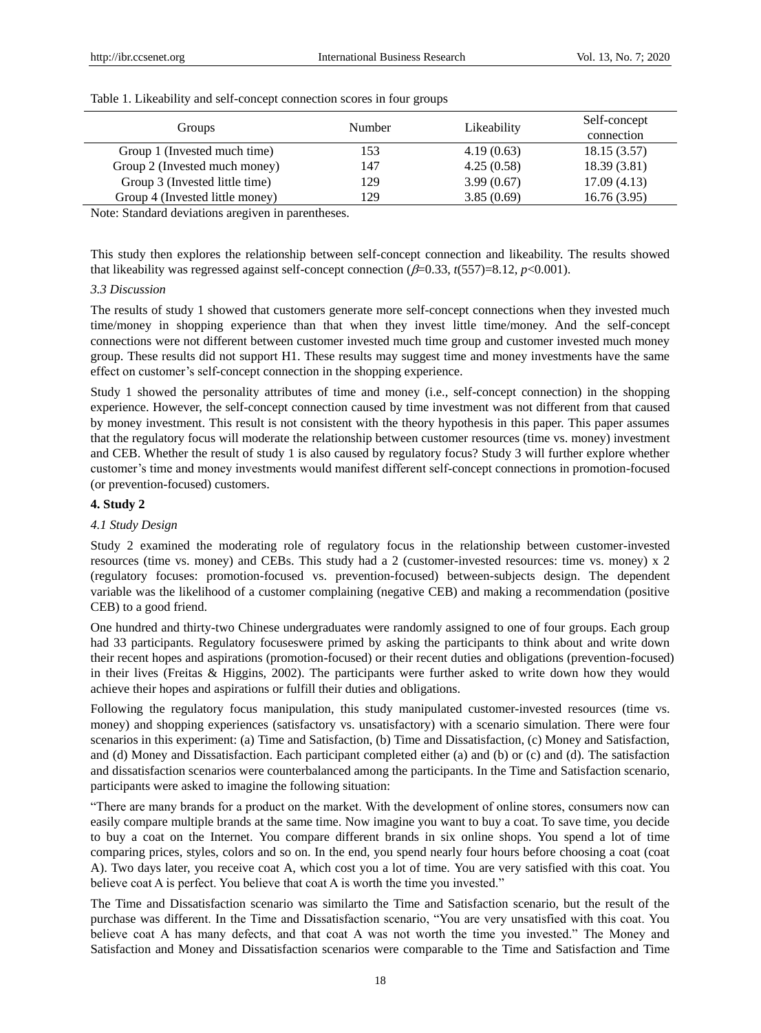| Groups                          | <b>Number</b> | Likeability | Self-concept<br>connection |
|---------------------------------|---------------|-------------|----------------------------|
| Group 1 (Invested much time)    | 153           | 4.19(0.63)  | 18.15(3.57)                |
| Group 2 (Invested much money)   | 147           | 4.25(0.58)  | 18.39(3.81)                |
| Group 3 (Invested little time)  | 129           | 3.99(0.67)  | 17.09(4.13)                |
| Group 4 (Invested little money) | 129           | 3.85(0.69)  | 16.76(3.95)                |

Table 1. Likeability and self-concept connection scores in four groups

Note: Standard deviations aregiven in parentheses.

This study then explores the relationship between self-concept connection and likeability. The results showed that likeability was regressed against self-concept connection  $(\beta=0.33, t(557)=8.12, p<0.001)$ .

## *3.3 Discussion*

The results of study 1 showed that customers generate more self-concept connections when they invested much time/money in shopping experience than that when they invest little time/money. And the self-concept connections were not different between customer invested much time group and customer invested much money group. These results did not support H1. These results may suggest time and money investments have the same effect on customer"s self-concept connection in the shopping experience.

Study 1 showed the personality attributes of time and money (i.e., self-concept connection) in the shopping experience. However, the self-concept connection caused by time investment was not different from that caused by money investment. This result is not consistent with the theory hypothesis in this paper. This paper assumes that the regulatory focus will moderate the relationship between customer resources (time vs. money) investment and CEB. Whether the result of study 1 is also caused by regulatory focus? Study 3 will further explore whether customer"s time and money investments would manifest different self-concept connections in promotion-focused (or prevention-focused) customers.

## **4. Study 2**

# *4.1 Study Design*

Study 2 examined the moderating role of regulatory focus in the relationship between customer-invested resources (time vs. money) and CEBs. This study had a 2 (customer-invested resources: time vs. money) x 2 (regulatory focuses: promotion-focused vs. prevention-focused) between-subjects design. The dependent variable was the likelihood of a customer complaining (negative CEB) and making a recommendation (positive CEB) to a good friend.

One hundred and thirty-two Chinese undergraduates were randomly assigned to one of four groups. Each group had 33 participants. Regulatory focuseswere primed by asking the participants to think about and write down their recent hopes and aspirations (promotion-focused) or their recent duties and obligations (prevention-focused) in their lives (Freitas & Higgins, 2002). The participants were further asked to write down how they would achieve their hopes and aspirations or fulfill their duties and obligations.

Following the regulatory focus manipulation, this study manipulated customer-invested resources (time vs. money) and shopping experiences (satisfactory vs. unsatisfactory) with a scenario simulation. There were four scenarios in this experiment: (a) Time and Satisfaction, (b) Time and Dissatisfaction, (c) Money and Satisfaction, and (d) Money and Dissatisfaction. Each participant completed either (a) and (b) or (c) and (d). The satisfaction and dissatisfaction scenarios were counterbalanced among the participants. In the Time and Satisfaction scenario, participants were asked to imagine the following situation:

"There are many brands for a product on the market. With the development of online stores, consumers now can easily compare multiple brands at the same time. Now imagine you want to buy a coat. To save time, you decide to buy a coat on the Internet. You compare different brands in six online shops. You spend a lot of time comparing prices, styles, colors and so on. In the end, you spend nearly four hours before choosing a coat (coat A). Two days later, you receive coat A, which cost you a lot of time. You are very satisfied with this coat. You believe coat A is perfect. You believe that coat A is worth the time you invested."

The Time and Dissatisfaction scenario was similarto the Time and Satisfaction scenario, but the result of the purchase was different. In the Time and Dissatisfaction scenario, "You are very unsatisfied with this coat. You believe coat A has many defects, and that coat A was not worth the time you invested." The Money and Satisfaction and Money and Dissatisfaction scenarios were comparable to the Time and Satisfaction and Time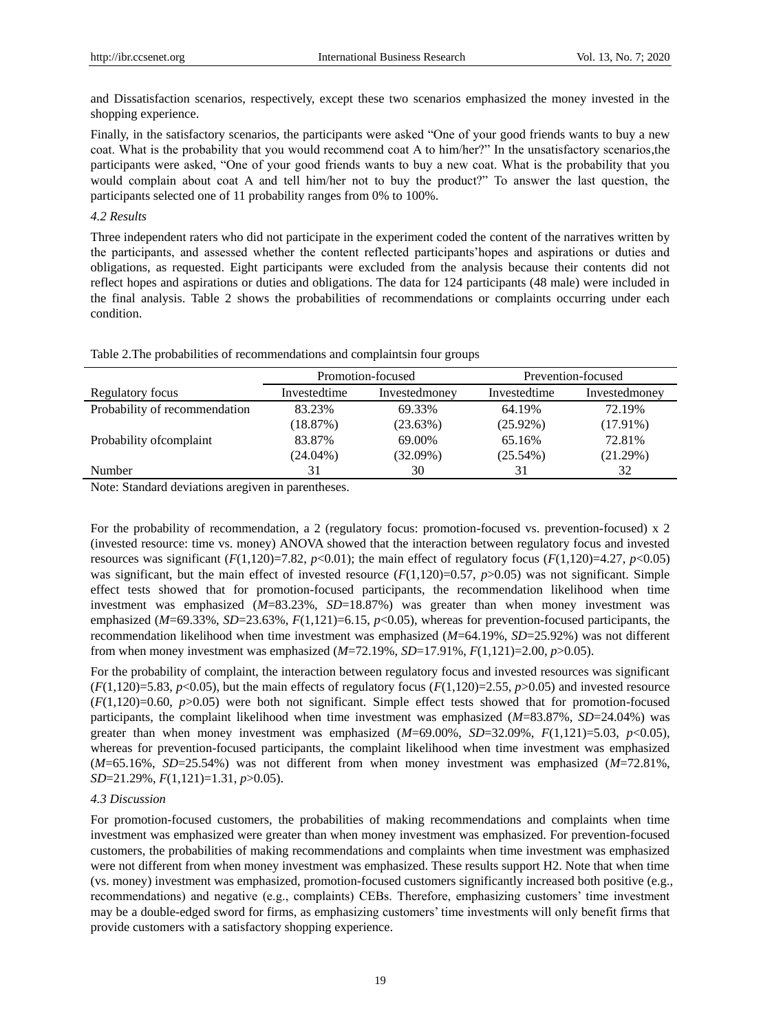and Dissatisfaction scenarios, respectively, except these two scenarios emphasized the money invested in the shopping experience.

Finally, in the satisfactory scenarios, the participants were asked "One of your good friends wants to buy a new coat. What is the probability that you would recommend coat A to him/her?" In the unsatisfactory scenarios,the participants were asked, "One of your good friends wants to buy a new coat. What is the probability that you would complain about coat A and tell him/her not to buy the product?" To answer the last question, the participants selected one of 11 probability ranges from 0% to 100%.

# *4.2 Results*

Three independent raters who did not participate in the experiment coded the content of the narratives written by the participants, and assessed whether the content reflected participants"hopes and aspirations or duties and obligations, as requested. Eight participants were excluded from the analysis because their contents did not reflect hopes and aspirations or duties and obligations. The data for 124 participants (48 male) were included in the final analysis. Table 2 shows the probabilities of recommendations or complaints occurring under each condition.

| Table 2. The probabilities of recommendations and complaintsin four groups |  |  |
|----------------------------------------------------------------------------|--|--|
|----------------------------------------------------------------------------|--|--|

|                               | Promotion-focused |               | Prevention-focused |               |
|-------------------------------|-------------------|---------------|--------------------|---------------|
| Regulatory focus              | Investedtime      | Investedmoney | Investedtime       | Investedmoney |
| Probability of recommendation | 83.23%            | 69.33%        | 64.19%             | 72.19%        |
|                               | (18.87%)          | $(23.63\%)$   | $(25.92\%)$        | $(17.91\%)$   |
| Probability of complaint      | 83.87%            | 69.00%        | 65.16%             | 72.81%        |
|                               | $(24.04\%)$       | $(32.09\%)$   | $(25.54\%)$        | (21.29%)      |
| Number                        | 31                | 30            | 31                 | 32            |

Note: Standard deviations aregiven in parentheses.

For the probability of recommendation, a 2 (regulatory focus: promotion-focused vs. prevention-focused) x 2 (invested resource: time vs. money) ANOVA showed that the interaction between regulatory focus and invested resources was significant  $(F(1,120)=7.82, p<0.01)$ ; the main effect of regulatory focus  $(F(1,120)=4.27, p<0.05)$ was significant, but the main effect of invested resource  $(F(1,120)=0.57, p>0.05)$  was not significant. Simple effect tests showed that for promotion-focused participants, the recommendation likelihood when time investment was emphasized (*M*=83.23%, *SD*=18.87%) was greater than when money investment was emphasized (*M*=69.33%, *SD*=23.63%, *F*(1,121)=6.15, *p*<0.05), whereas for prevention-focused participants, the recommendation likelihood when time investment was emphasized (*M*=64.19%, *SD*=25.92%) was not different from when money investment was emphasized (*M*=72.19%, *SD*=17.91%, *F*(1,121)=2.00, *p*>0.05).

For the probability of complaint, the interaction between regulatory focus and invested resources was significant  $(F(1,120)=5.83, p<0.05)$ , but the main effects of regulatory focus  $(F(1,120)=2.55, p>0.05)$  and invested resource  $(F(1,120)=0.60, p>0.05)$  were both not significant. Simple effect tests showed that for promotion-focused participants, the complaint likelihood when time investment was emphasized (*M*=83.87%, *SD*=24.04%) was greater than when money investment was emphasized  $(M=69.00\%$ ,  $SD=32.09\%$ ,  $F(1,121)=5.03$ ,  $p<0.05$ ), whereas for prevention-focused participants, the complaint likelihood when time investment was emphasized (*M*=65.16%, *SD*=25.54%) was not different from when money investment was emphasized (*M*=72.81%, *SD*=21.29%, *F*(1,121)=1.31, *p*>0.05).

# *4.3 Discussion*

For promotion-focused customers, the probabilities of making recommendations and complaints when time investment was emphasized were greater than when money investment was emphasized. For prevention-focused customers, the probabilities of making recommendations and complaints when time investment was emphasized were not different from when money investment was emphasized. These results support H2. Note that when time (vs. money) investment was emphasized, promotion-focused customers significantly increased both positive (e.g., recommendations) and negative (e.g., complaints) CEBs. Therefore, emphasizing customers" time investment may be a double-edged sword for firms, as emphasizing customers" time investments will only benefit firms that provide customers with a satisfactory shopping experience.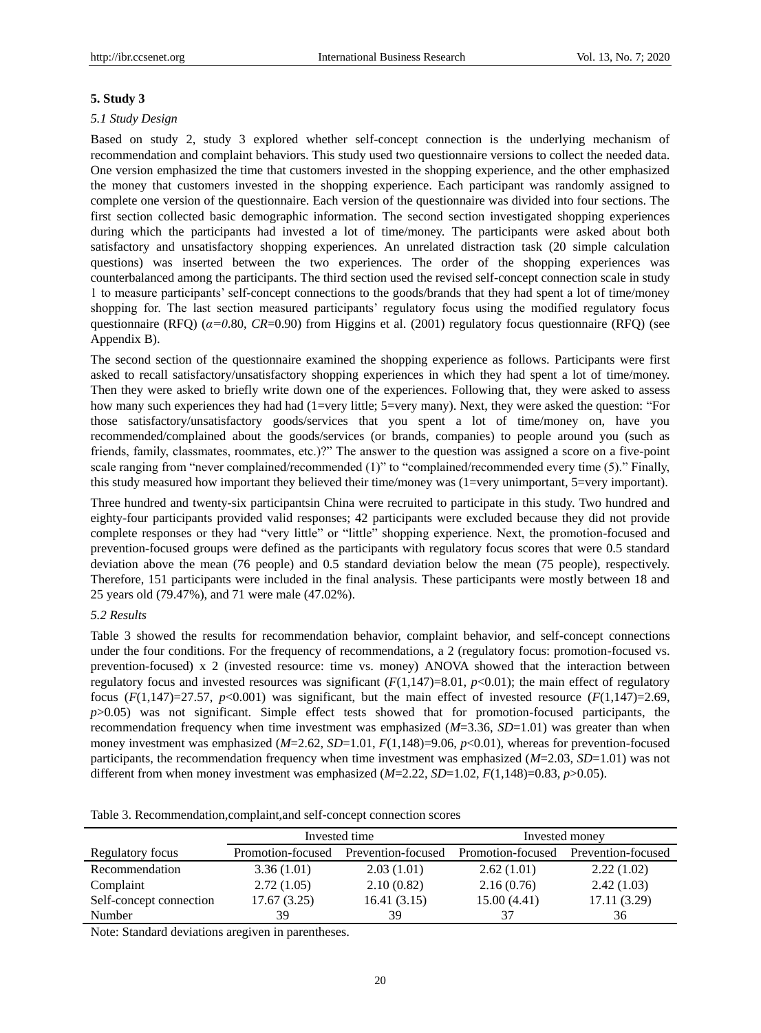# **5. Study 3**

## *5.1 Study Design*

Based on study 2, study 3 explored whether self-concept connection is the underlying mechanism of recommendation and complaint behaviors. This study used two questionnaire versions to collect the needed data. One version emphasized the time that customers invested in the shopping experience, and the other emphasized the money that customers invested in the shopping experience. Each participant was randomly assigned to complete one version of the questionnaire. Each version of the questionnaire was divided into four sections. The first section collected basic demographic information. The second section investigated shopping experiences during which the participants had invested a lot of time/money. The participants were asked about both satisfactory and unsatisfactory shopping experiences. An unrelated distraction task (20 simple calculation questions) was inserted between the two experiences. The order of the shopping experiences was counterbalanced among the participants. The third section used the revised self-concept connection scale in study 1 to measure participants" self-concept connections to the goods/brands that they had spent a lot of time/money shopping for. The last section measured participants' regulatory focus using the modified regulatory focus questionnaire (RFQ) (*α=0*.80, *CR*=0.90) from Higgins et al. (2001) regulatory focus questionnaire (RFQ) (see Appendix B).

The second section of the questionnaire examined the shopping experience as follows. Participants were first asked to recall satisfactory/unsatisfactory shopping experiences in which they had spent a lot of time/money. Then they were asked to briefly write down one of the experiences. Following that, they were asked to assess how many such experiences they had had (1=very little; 5=very many). Next, they were asked the question: "For those satisfactory/unsatisfactory goods/services that you spent a lot of time/money on, have you recommended/complained about the goods/services (or brands, companies) to people around you (such as friends, family, classmates, roommates, etc.)?" The answer to the question was assigned a score on a five-point scale ranging from "never complained/recommended (1)" to "complained/recommended every time (5)." Finally, this study measured how important they believed their time/money was (1=very unimportant, 5=very important).

Three hundred and twenty-six participantsin China were recruited to participate in this study. Two hundred and eighty-four participants provided valid responses; 42 participants were excluded because they did not provide complete responses or they had "very little" or "little" shopping experience. Next, the promotion-focused and prevention-focused groups were defined as the participants with regulatory focus scores that were 0.5 standard deviation above the mean (76 people) and 0.5 standard deviation below the mean (75 people), respectively. Therefore, 151 participants were included in the final analysis. These participants were mostly between 18 and 25 years old (79.47%), and 71 were male (47.02%).

## *5.2 Results*

Table 3 showed the results for recommendation behavior, complaint behavior, and self-concept connections under the four conditions. For the frequency of recommendations, a 2 (regulatory focus: promotion-focused vs. prevention-focused) x 2 (invested resource: time vs. money) ANOVA showed that the interaction between regulatory focus and invested resources was significant  $(F(1,147)=8.01, p<0.01)$ ; the main effect of regulatory focus  $(F(1,147)=27.57, p<0.001)$  was significant, but the main effect of invested resource  $(F(1,147)=2.69,$ *p*>0.05) was not significant. Simple effect tests showed that for promotion-focused participants, the recommendation frequency when time investment was emphasized (*M*=3.36, *SD*=1.01) was greater than when money investment was emphasized ( $M=2.62$ ,  $SD=1.01$ ,  $F(1,148)=9.06$ ,  $p<0.01$ ), whereas for prevention-focused participants, the recommendation frequency when time investment was emphasized (*M*=2.03, *SD*=1.01) was not different from when money investment was emphasized  $(M=2.22, SD=1.02, F(1,148)=0.83, p>0.05)$ .

| Table 3. Recommendation, complaint, and self-concept connection scores |  |
|------------------------------------------------------------------------|--|
|------------------------------------------------------------------------|--|

|                         | Invested time     |                    | Invested money    |                    |  |
|-------------------------|-------------------|--------------------|-------------------|--------------------|--|
|                         |                   |                    |                   |                    |  |
| Regulatory focus        | Promotion-focused | Prevention-focused | Promotion-focused | Prevention-focused |  |
| Recommendation          | 3.36(1.01)        | 2.03(1.01)         | 2.62(1.01)        | 2.22(1.02)         |  |
| Complaint               | 2.72(1.05)        | 2.10(0.82)         | 2.16(0.76)        | 2.42(1.03)         |  |
| Self-concept connection | 17.67(3.25)       | 16.41(3.15)        | 15.00(4.41)       | 17.11 (3.29)       |  |
| Number                  | 39                | 39                 | 37                | 36                 |  |

Note: Standard deviations aregiven in parentheses.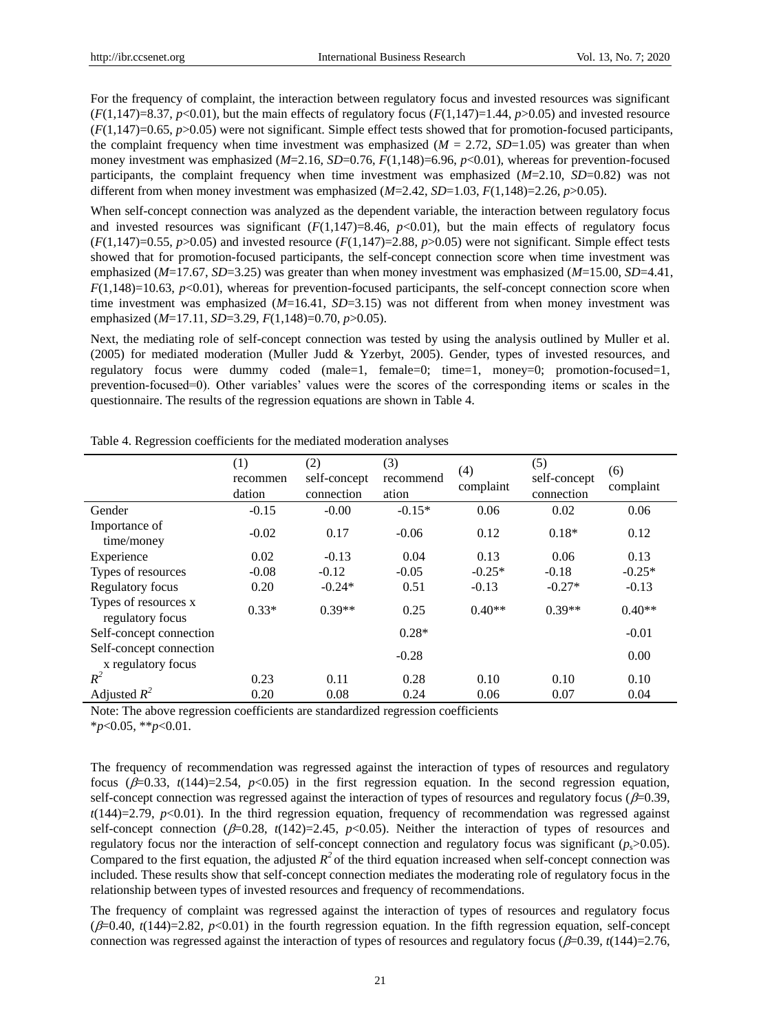For the frequency of complaint, the interaction between regulatory focus and invested resources was significant  $(F(1.147)=8.37, p<0.01)$ , but the main effects of regulatory focus  $(F(1.147)=1.44, p>0.05)$  and invested resource (*F*(1,147)=0.65, *p*>0.05) were not significant. Simple effect tests showed that for promotion-focused participants, the complaint frequency when time investment was emphasized  $(M = 2.72, SD=1.05)$  was greater than when money investment was emphasized ( $M=2.16$ ,  $SD=0.76$ ,  $F(1,148)=6.96$ ,  $p<0.01$ ), whereas for prevention-focused participants, the complaint frequency when time investment was emphasized  $(M=2.10, SD=0.82)$  was not different from when money investment was emphasized (*M*=2.42, *SD*=1.03, *F*(1,148)=2.26, *p*>0.05).

When self-concept connection was analyzed as the dependent variable, the interaction between regulatory focus and invested resources was significant  $(F(1,147)=8.46, p<0.01)$ , but the main effects of regulatory focus  $(F(1,147)=0.55, p>0.05)$  and invested resource  $(F(1,147)=2.88, p>0.05)$  were not significant. Simple effect tests showed that for promotion-focused participants, the self-concept connection score when time investment was emphasized (*M*=17.67, *SD*=3.25) was greater than when money investment was emphasized (*M*=15.00, *SD*=4.41, *F*(1,148)=10.63, *p*<0.01), whereas for prevention-focused participants, the self-concept connection score when time investment was emphasized (*M*=16.41, *SD*=3.15) was not different from when money investment was emphasized (*M*=17.11, *SD*=3.29, *F*(1,148)=0.70, *p*>0.05).

Next, the mediating role of self-concept connection was tested by using the analysis outlined by Muller et al. (2005) for mediated moderation (Muller Judd & Yzerbyt, 2005). Gender, types of invested resources, and regulatory focus were dummy coded (male=1, female=0; time=1, money=0; promotion-focused=1, prevention-focused=0). Other variables" values were the scores of the corresponding items or scales in the questionnaire. The results of the regression equations are shown in Table 4.

|                                               | (1)<br>recommen<br>dation | (2)<br>self-concept<br>connection | (3)<br>recommend<br>ation | (4)<br>complaint | (5)<br>self-concept<br>connection | (6)<br>complaint |
|-----------------------------------------------|---------------------------|-----------------------------------|---------------------------|------------------|-----------------------------------|------------------|
| Gender                                        | $-0.15$                   | $-0.00$                           | $-0.15*$                  | 0.06             | 0.02                              | 0.06             |
| Importance of<br>time/money                   | $-0.02$                   | 0.17                              | $-0.06$                   | 0.12             | $0.18*$                           | 0.12             |
| Experience                                    | 0.02                      | $-0.13$                           | 0.04                      | 0.13             | 0.06                              | 0.13             |
| Types of resources                            | $-0.08$                   | $-0.12$                           | $-0.05$                   | $-0.25*$         | $-0.18$                           | $-0.25*$         |
| Regulatory focus                              | 0.20                      | $-0.24*$                          | 0.51                      | $-0.13$          | $-0.27*$                          | $-0.13$          |
| Types of resources x<br>regulatory focus      | $0.33*$                   | $0.39**$                          | 0.25                      | $0.40**$         | $0.39**$                          | $0.40**$         |
| Self-concept connection                       |                           |                                   | $0.28*$                   |                  |                                   | $-0.01$          |
| Self-concept connection<br>x regulatory focus |                           |                                   | $-0.28$                   |                  |                                   | 0.00             |
| $R^2$                                         | 0.23                      | 0.11                              | 0.28                      | 0.10             | 0.10                              | 0.10             |
| Adjusted $R^2$                                | 0.20                      | 0.08                              | 0.24                      | 0.06             | 0.07                              | 0.04             |

Table 4. Regression coefficients for the mediated moderation analyses

Note: The above regression coefficients are standardized regression coefficients

\**p*<0.05, \*\**p*<0.01.

The frequency of recommendation was regressed against the interaction of types of resources and regulatory focus ( $\beta$ =0.33, *t*(144)=2.54, *p*<0.05) in the first regression equation. In the second regression equation, self-concept connection was regressed against the interaction of types of resources and regulatory focus ( $\beta$ =0.39,  $t(144)=2.79$ ,  $p<0.01$ ). In the third regression equation, frequency of recommendation was regressed against self-concept connection  $(\beta=0.28, t(142)=2.45, p<0.05)$ . Neither the interaction of types of resources and regulatory focus nor the interaction of self-concept connection and regulatory focus was significant  $(p_0 > 0.05)$ . Compared to the first equation, the adjusted  $R^2$  of the third equation increased when self-concept connection was included. These results show that self-concept connection mediates the moderating role of regulatory focus in the relationship between types of invested resources and frequency of recommendations.

The frequency of complaint was regressed against the interaction of types of resources and regulatory focus  $(\beta=0.40, t(144)=2.82, p<0.01)$  in the fourth regression equation. In the fifth regression equation, self-concept connection was regressed against the interaction of types of resources and regulatory focus ( $\beta$ =0.39, *t*(144)=2.76,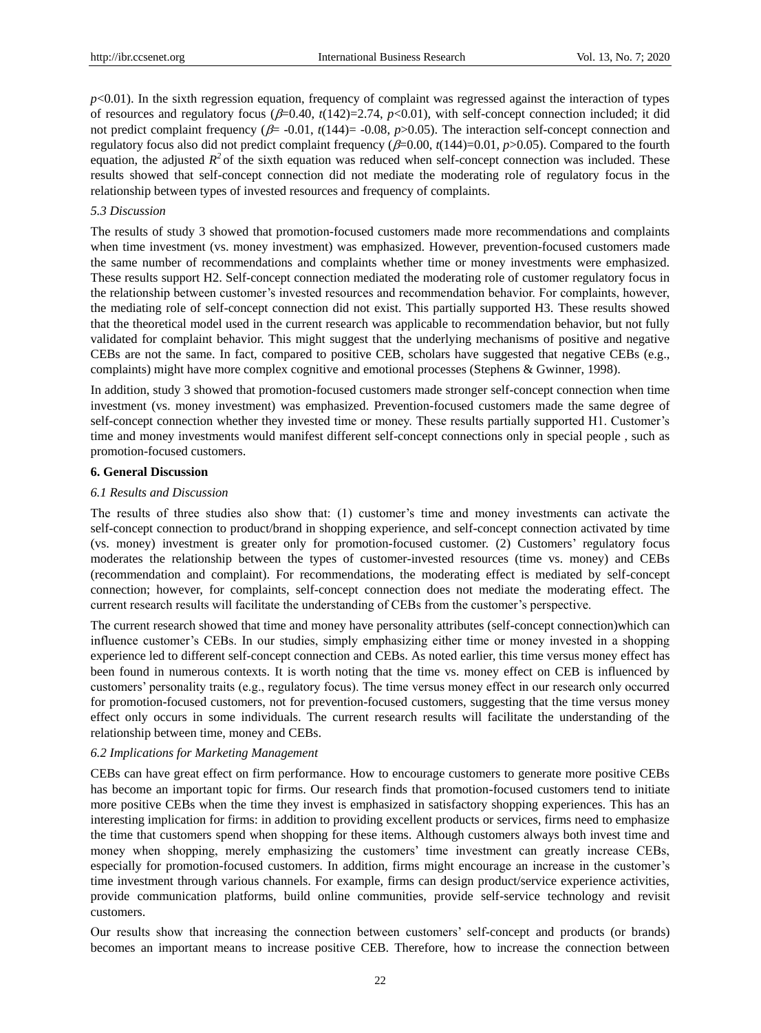$p<0.01$ ). In the sixth regression equation, frequency of complaint was regressed against the interaction of types of resources and regulatory focus ( $\beta$ =0.40,  $t(142)$ =2.74,  $p$ <0.01), with self-concept connection included; it did not predict complaint frequency ( $\beta$ = -0.01,  $t(144)$ = -0.08,  $p$ >0.05). The interaction self-concept connection and regulatory focus also did not predict complaint frequency  $(\beta=0.00, t(144)=0.01, p>0.05)$ . Compared to the fourth equation, the adjusted  $R^2$  of the sixth equation was reduced when self-concept connection was included. These results showed that self-concept connection did not mediate the moderating role of regulatory focus in the relationship between types of invested resources and frequency of complaints.

# *5.3 Discussion*

The results of study 3 showed that promotion-focused customers made more recommendations and complaints when time investment (vs. money investment) was emphasized. However, prevention-focused customers made the same number of recommendations and complaints whether time or money investments were emphasized. These results support H2. Self-concept connection mediated the moderating role of customer regulatory focus in the relationship between customer's invested resources and recommendation behavior. For complaints, however, the mediating role of self-concept connection did not exist. This partially supported H3. These results showed that the theoretical model used in the current research was applicable to recommendation behavior, but not fully validated for complaint behavior. This might suggest that the underlying mechanisms of positive and negative CEBs are not the same. In fact, compared to positive CEB, scholars have suggested that negative CEBs (e.g., complaints) might have more complex cognitive and emotional processes (Stephens & Gwinner, 1998).

In addition, study 3 showed that promotion-focused customers made stronger self-concept connection when time investment (vs. money investment) was emphasized. Prevention-focused customers made the same degree of self-concept connection whether they invested time or money. These results partially supported H1. Customer"s time and money investments would manifest different self-concept connections only in special people , such as promotion-focused customers.

# **6. General Discussion**

# *6.1 Results and Discussion*

The results of three studies also show that: (1) customer"s time and money investments can activate the self-concept connection to product/brand in shopping experience, and self-concept connection activated by time (vs. money) investment is greater only for promotion-focused customer. (2) Customers" regulatory focus moderates the relationship between the types of customer-invested resources (time vs. money) and CEBs (recommendation and complaint). For recommendations, the moderating effect is mediated by self-concept connection; however, for complaints, self-concept connection does not mediate the moderating effect. The current research results will facilitate the understanding of CEBs from the customer"s perspective.

The current research showed that time and money have personality attributes (self-concept connection)which can influence customer"s CEBs. In our studies, simply emphasizing either time or money invested in a shopping experience led to different self-concept connection and CEBs. As noted earlier, this time versus money effect has been found in numerous contexts. It is worth noting that the time vs. money effect on CEB is influenced by customers" personality traits (e.g., regulatory focus). The time versus money effect in our research only occurred for promotion-focused customers, not for prevention-focused customers, suggesting that the time versus money effect only occurs in some individuals. The current research results will facilitate the understanding of the relationship between time, money and CEBs.

# *6.2 Implications for Marketing Management*

CEBs can have great effect on firm performance. How to encourage customers to generate more positive CEBs has become an important topic for firms. Our research finds that promotion-focused customers tend to initiate more positive CEBs when the time they invest is emphasized in satisfactory shopping experiences. This has an interesting implication for firms: in addition to providing excellent products or services, firms need to emphasize the time that customers spend when shopping for these items. Although customers always both invest time and money when shopping, merely emphasizing the customers' time investment can greatly increase CEBs, especially for promotion-focused customers. In addition, firms might encourage an increase in the customer"s time investment through various channels. For example, firms can design product/service experience activities, provide communication platforms, build online communities, provide self-service technology and revisit customers.

Our results show that increasing the connection between customers" self-concept and products (or brands) becomes an important means to increase positive CEB. Therefore, how to increase the connection between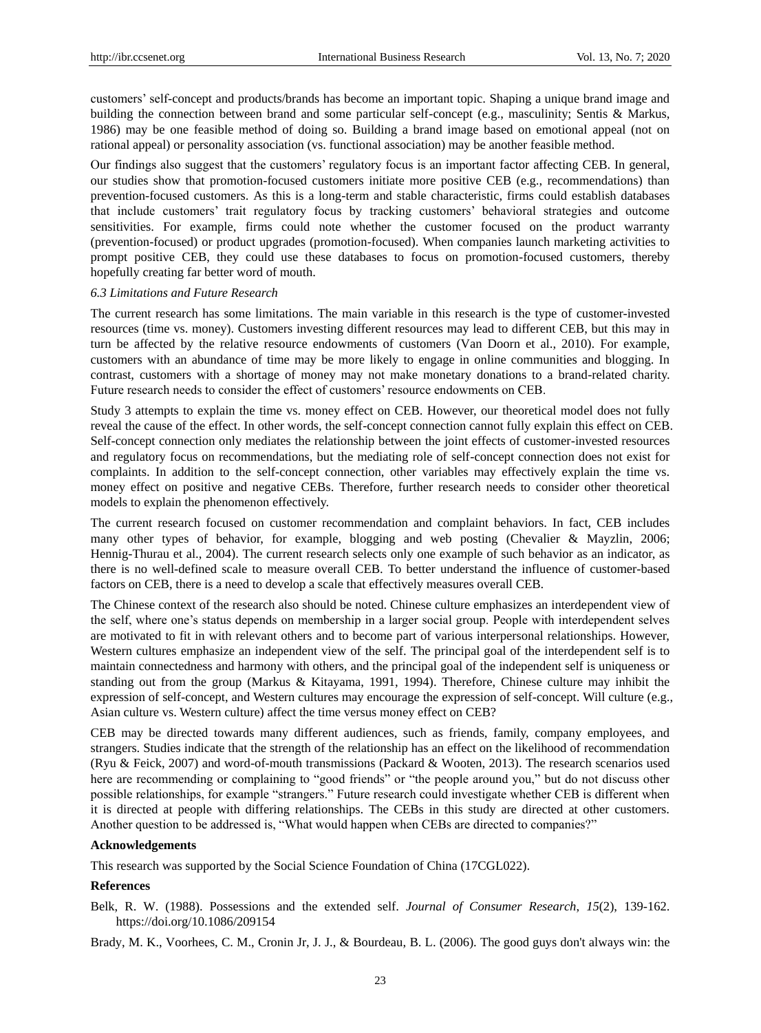customers" self-concept and products/brands has become an important topic. Shaping a unique brand image and building the connection between brand and some particular self-concept (e.g., masculinity; Sentis & Markus, 1986) may be one feasible method of doing so. Building a brand image based on emotional appeal (not on rational appeal) or personality association (vs. functional association) may be another feasible method.

Our findings also suggest that the customers" regulatory focus is an important factor affecting CEB. In general, our studies show that promotion-focused customers initiate more positive CEB (e.g., recommendations) than prevention-focused customers. As this is a long-term and stable characteristic, firms could establish databases that include customers" trait regulatory focus by tracking customers" behavioral strategies and outcome sensitivities. For example, firms could note whether the customer focused on the product warranty (prevention-focused) or product upgrades (promotion-focused). When companies launch marketing activities to prompt positive CEB, they could use these databases to focus on promotion-focused customers, thereby hopefully creating far better word of mouth.

# *6.3 Limitations and Future Research*

The current research has some limitations. The main variable in this research is the type of customer-invested resources (time vs. money). Customers investing different resources may lead to different CEB, but this may in turn be affected by the relative resource endowments of customers (Van Doorn et al., 2010). For example, customers with an abundance of time may be more likely to engage in online communities and blogging. In contrast, customers with a shortage of money may not make monetary donations to a brand-related charity. Future research needs to consider the effect of customers' resource endowments on CEB.

Study 3 attempts to explain the time vs. money effect on CEB. However, our theoretical model does not fully reveal the cause of the effect. In other words, the self-concept connection cannot fully explain this effect on CEB. Self-concept connection only mediates the relationship between the joint effects of customer-invested resources and regulatory focus on recommendations, but the mediating role of self-concept connection does not exist for complaints. In addition to the self-concept connection, other variables may effectively explain the time vs. money effect on positive and negative CEBs. Therefore, further research needs to consider other theoretical models to explain the phenomenon effectively.

The current research focused on customer recommendation and complaint behaviors. In fact, CEB includes many other types of behavior, for example, blogging and web posting (Chevalier & Mayzlin, 2006; Hennig-Thurau et al., 2004). The current research selects only one example of such behavior as an indicator, as there is no well-defined scale to measure overall CEB. To better understand the influence of customer-based factors on CEB, there is a need to develop a scale that effectively measures overall CEB.

The Chinese context of the research also should be noted. Chinese culture emphasizes an interdependent view of the self, where one"s status depends on membership in a larger social group. People with interdependent selves are motivated to fit in with relevant others and to become part of various interpersonal relationships. However, Western cultures emphasize an independent view of the self. The principal goal of the interdependent self is to maintain connectedness and harmony with others, and the principal goal of the independent self is uniqueness or standing out from the group (Markus & Kitayama, 1991, 1994). Therefore, Chinese culture may inhibit the expression of self-concept, and Western cultures may encourage the expression of self-concept. Will culture (e.g., Asian culture vs. Western culture) affect the time versus money effect on CEB?

CEB may be directed towards many different audiences, such as friends, family, company employees, and strangers. Studies indicate that the strength of the relationship has an effect on the likelihood of recommendation (Ryu & Feick, 2007) and word-of-mouth transmissions (Packard & Wooten, 2013). The research scenarios used here are recommending or complaining to "good friends" or "the people around you," but do not discuss other possible relationships, for example "strangers." Future research could investigate whether CEB is different when it is directed at people with differing relationships. The CEBs in this study are directed at other customers. Another question to be addressed is, "What would happen when CEBs are directed to companies?"

#### **Acknowledgements**

This research was supported by the Social Science Foundation of China (17CGL022).

# **References**

Belk, R. W. (1988). Possessions and the extended self. *Journal of Consumer Research*, *15*(2), 139-162. https://doi.org/10.1086/209154

Brady, M. K., Voorhees, C. M., Cronin Jr, J. J., & Bourdeau, B. L. (2006). The good guys don't always win: the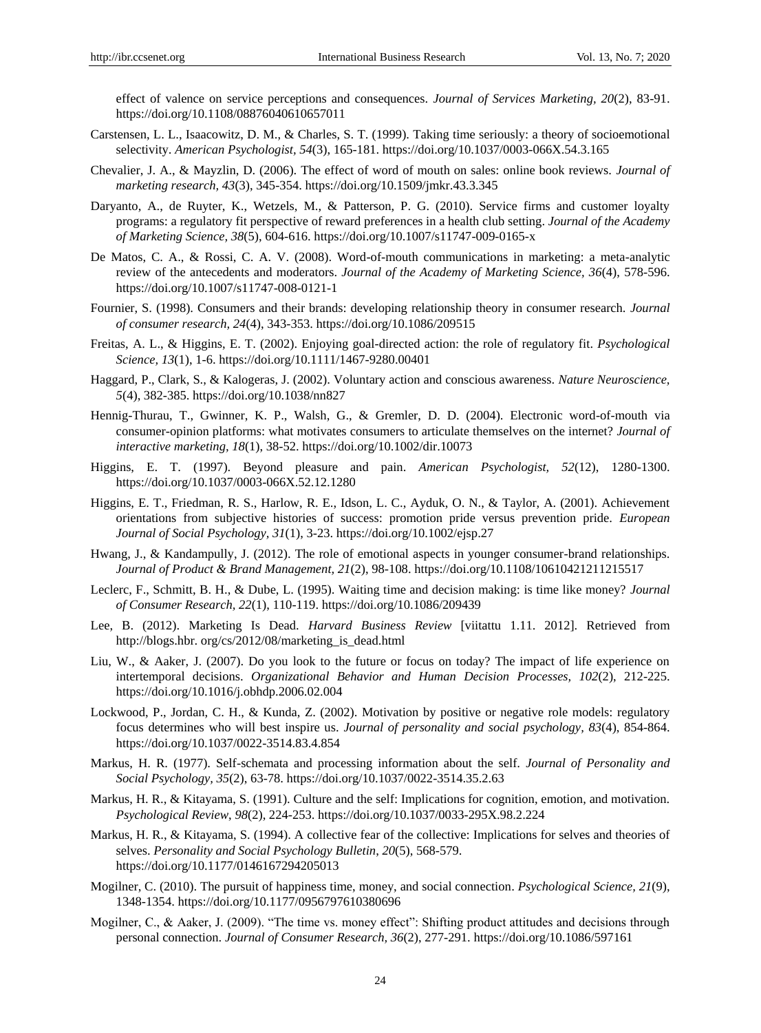effect of valence on service perceptions and consequences. *Journal of Services Marketing, 20*(2), 83-91. https://doi.org/10.1108/08876040610657011

- Carstensen, L. L., Isaacowitz, D. M., & Charles, S. T. (1999). Taking time seriously: a theory of socioemotional selectivity. *American Psychologist, 54*(3), 165-181. https://doi.org/10.1037/0003-066X.54.3.165
- Chevalier, J. A., & Mayzlin, D. (2006). The effect of word of mouth on sales: online book reviews. *Journal of marketing research, 43*(3), 345-354. https://doi.org/10.1509/jmkr.43.3.345
- Daryanto, A., de Ruyter, K., Wetzels, M., & Patterson, P. G. (2010). Service firms and customer loyalty programs: a regulatory fit perspective of reward preferences in a health club setting. *Journal of the Academy of Marketing Science, 38*(5), 604-616. https://doi.org/10.1007/s11747-009-0165-x
- De Matos, C. A., & Rossi, C. A. V. (2008). Word-of-mouth communications in marketing: a meta-analytic review of the antecedents and moderators. *Journal of the Academy of Marketing Science, 36*(4), 578-596. https://doi.org/10.1007/s11747-008-0121-1
- Fournier, S. (1998). Consumers and their brands: developing relationship theory in consumer research. *Journal of consumer research, 24*(4), 343-353. https://doi.org/10.1086/209515
- Freitas, A. L., & Higgins, E. T. (2002). Enjoying goal-directed action: the role of regulatory fit. *Psychological Science, 13*(1), 1-6. https://doi.org/10.1111/1467-9280.00401
- Haggard, P., Clark, S., & Kalogeras, J. (2002). Voluntary action and conscious awareness. *Nature Neuroscience, 5*(4), 382-385. https://doi.org/10.1038/nn827
- Hennig-Thurau, T., Gwinner, K. P., Walsh, G., & Gremler, D. D. (2004). Electronic word-of-mouth via consumer-opinion platforms: what motivates consumers to articulate themselves on the internet? *Journal of interactive marketing, 18*(1), 38-52. https://doi.org/10.1002/dir.10073
- Higgins, E. T. (1997). Beyond pleasure and pain. *American Psychologist, 52*(12), 1280-1300. https://doi.org/10.1037/0003-066X.52.12.1280
- Higgins, E. T., Friedman, R. S., Harlow, R. E., Idson, L. C., Ayduk, O. N., & Taylor, A. (2001). Achievement orientations from subjective histories of success: promotion pride versus prevention pride. *European Journal of Social Psychology, 31*(1), 3-23. https://doi.org/10.1002/ejsp.27
- Hwang, J., & Kandampully, J. (2012). The role of emotional aspects in younger consumer-brand relationships. *Journal of Product & Brand Management, 21*(2), 98-108. https://doi.org/10.1108/10610421211215517
- Leclerc, F., Schmitt, B. H., & Dube, L. (1995). Waiting time and decision making: is time like money? *Journal of Consumer Research, 22*(1), 110-119. https://doi.org/10.1086/209439
- Lee, B. (2012). Marketing Is Dead. *Harvard Business Review* [viitattu 1.11. 2012]. Retrieved from http://blogs.hbr. org/cs/2012/08/marketing\_is\_dead.html
- Liu, W., & Aaker, J. (2007). Do you look to the future or focus on today? The impact of life experience on intertemporal decisions. *Organizational Behavior and Human Decision Processes, 102*(2), 212-225. https://doi.org/10.1016/j.obhdp.2006.02.004
- Lockwood, P., Jordan, C. H., & Kunda, Z. (2002). Motivation by positive or negative role models: regulatory focus determines who will best inspire us. *Journal of personality and social psychology, 83*(4), 854-864. https://doi.org/10.1037/0022-3514.83.4.854
- Markus, H. R. (1977). Self-schemata and processing information about the self. *Journal of Personality and Social Psychology, 35*(2), 63-78. https://doi.org/10.1037/0022-3514.35.2.63
- Markus, H. R., & Kitayama, S. (1991). Culture and the self: Implications for cognition, emotion, and motivation. *Psychological Review*, *98*(2), 224-253. https://doi.org/10.1037/0033-295X.98.2.224
- Markus, H. R., & Kitayama, S. (1994). A collective fear of the collective: Implications for selves and theories of selves. *Personality and Social Psychology Bulletin*, *20*(5), 568-579. https://doi.org/10.1177/0146167294205013
- Mogilner, C. (2010). The pursuit of happiness time, money, and social connection. *Psychological Science, 21*(9), 1348-1354. https://doi.org/10.1177/0956797610380696
- Mogilner, C., & Aaker, J. (2009). "The time vs. money effect": Shifting product attitudes and decisions through personal connection. *Journal of Consumer Research, 36*(2), 277-291. https://doi.org/10.1086/597161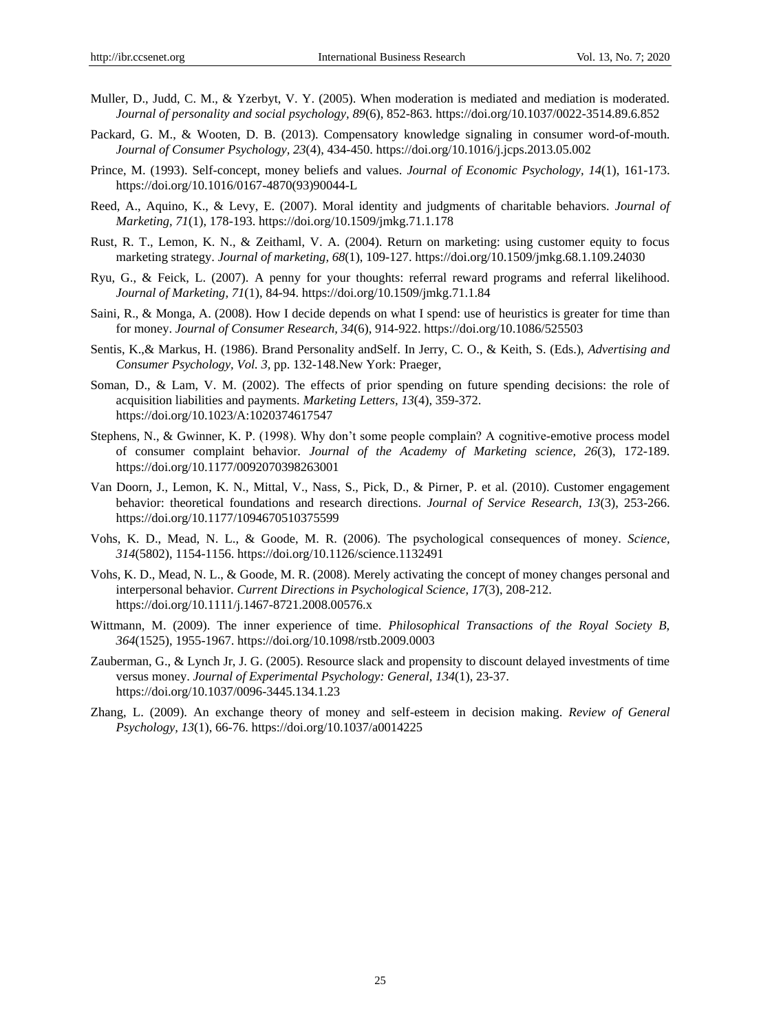- Muller, D., Judd, C. M., & Yzerbyt, V. Y. (2005). When moderation is mediated and mediation is moderated. *Journal of personality and social psychology, 89*(6), 852-863. https://doi.org/10.1037/0022-3514.89.6.852
- Packard, G. M., & Wooten, D. B. (2013). Compensatory knowledge signaling in consumer word-of-mouth. *Journal of Consumer Psychology, 23*(4), 434-450. https://doi.org/10.1016/j.jcps.2013.05.002
- Prince, M. (1993). Self-concept, money beliefs and values. *Journal of Economic Psychology, 14*(1), 161-173. https://doi.org/10.1016/0167-4870(93)90044-L
- Reed, A., Aquino, K., & Levy, E. (2007). Moral identity and judgments of charitable behaviors. *Journal of Marketing, 71*(1), 178-193. https://doi.org/10.1509/jmkg.71.1.178
- Rust, R. T., Lemon, K. N., & Zeithaml, V. A. (2004). Return on marketing: using customer equity to focus marketing strategy. *Journal of marketing, 68*(1), 109-127. https://doi.org/10.1509/jmkg.68.1.109.24030
- Ryu, G., & Feick, L. (2007). A penny for your thoughts: referral reward programs and referral likelihood. *Journal of Marketing, 71*(1), 84-94. https://doi.org/10.1509/jmkg.71.1.84
- Saini, R., & Monga, A. (2008). How I decide depends on what I spend: use of heuristics is greater for time than for money. *Journal of Consumer Research, 34*(6), 914-922. https://doi.org/10.1086/525503
- Sentis, K.,& Markus, H. (1986). Brand Personality andSelf. In Jerry, C. O., & Keith, S. (Eds.), *Advertising and Consumer Psychology, Vol. 3,* pp. 132-148.New York: Praeger,
- Soman, D., & Lam, V. M. (2002). The effects of prior spending on future spending decisions: the role of acquisition liabilities and payments. *Marketing Letters, 13*(4), 359-372. https://doi.org/10.1023/A:1020374617547
- Stephens, N., & Gwinner, K. P. (1998). Why don"t some people complain? A cognitive-emotive process model of consumer complaint behavior. *Journal of the Academy of Marketing science, 26*(3), 172-189. https://doi.org/10.1177/0092070398263001
- Van Doorn, J., Lemon, K. N., Mittal, V., Nass, S., Pick, D., & Pirner, P. et al. (2010). Customer engagement behavior: theoretical foundations and research directions. *Journal of Service Research, 13*(3), 253-266. https://doi.org/10.1177/1094670510375599
- Vohs, K. D., Mead, N. L., & Goode, M. R. (2006). The psychological consequences of money. *Science, 314*(5802), 1154-1156. https://doi.org/10.1126/science.1132491
- Vohs, K. D., Mead, N. L., & Goode, M. R. (2008). Merely activating the concept of money changes personal and interpersonal behavior. *Current Directions in Psychological Science, 17*(3), 208-212. https://doi.org/10.1111/j.1467-8721.2008.00576.x
- Wittmann, M. (2009). The inner experience of time. *Philosophical Transactions of the Royal Society B, 364*(1525), 1955-1967. https://doi.org/10.1098/rstb.2009.0003
- Zauberman, G., & Lynch Jr, J. G. (2005). Resource slack and propensity to discount delayed investments of time versus money. *Journal of Experimental Psychology: General, 134*(1), 23-37. https://doi.org/10.1037/0096-3445.134.1.23
- Zhang, L. (2009). An exchange theory of money and self-esteem in decision making. *Review of General Psychology, 13*(1), 66-76. https://doi.org/10.1037/a0014225